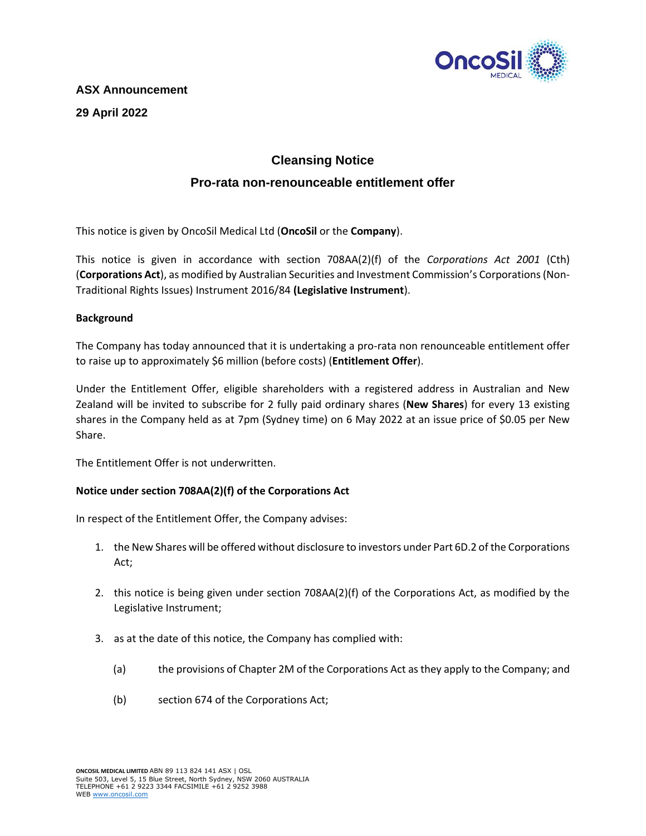

# **ASX Announcement 29 April 2022**

## **Cleansing Notice**

## **Pro-rata non-renounceable entitlement offer**

This notice is given by OncoSil Medical Ltd (**OncoSil** or the **Company**).

This notice is given in accordance with section 708AA(2)(f) of the *Corporations Act 2001* (Cth) (**Corporations Act**), as modified by Australian Securities and Investment Commission's Corporations (Non-Traditional Rights Issues) Instrument 2016/84 **(Legislative Instrument**).

### **Background**

The Company has today announced that it is undertaking a pro-rata non renounceable entitlement offer to raise up to approximately \$6 million (before costs) (**Entitlement Offer**).

Under the Entitlement Offer, eligible shareholders with a registered address in Australian and New Zealand will be invited to subscribe for 2 fully paid ordinary shares (**New Shares**) for every 13 existing shares in the Company held as at 7pm (Sydney time) on 6 May 2022 at an issue price of \$0.05 per New Share.

The Entitlement Offer is not underwritten.

### **Notice under section 708AA(2)(f) of the Corporations Act**

In respect of the Entitlement Offer, the Company advises:

- 1. the New Shares will be offered without disclosure to investors under Part 6D.2 of the Corporations Act;
- 2. this notice is being given under section 708AA(2)(f) of the Corporations Act, as modified by the Legislative Instrument;
- 3. as at the date of this notice, the Company has complied with:
	- (a) the provisions of Chapter 2M of the Corporations Act as they apply to the Company; and
	- (b) section 674 of the Corporations Act;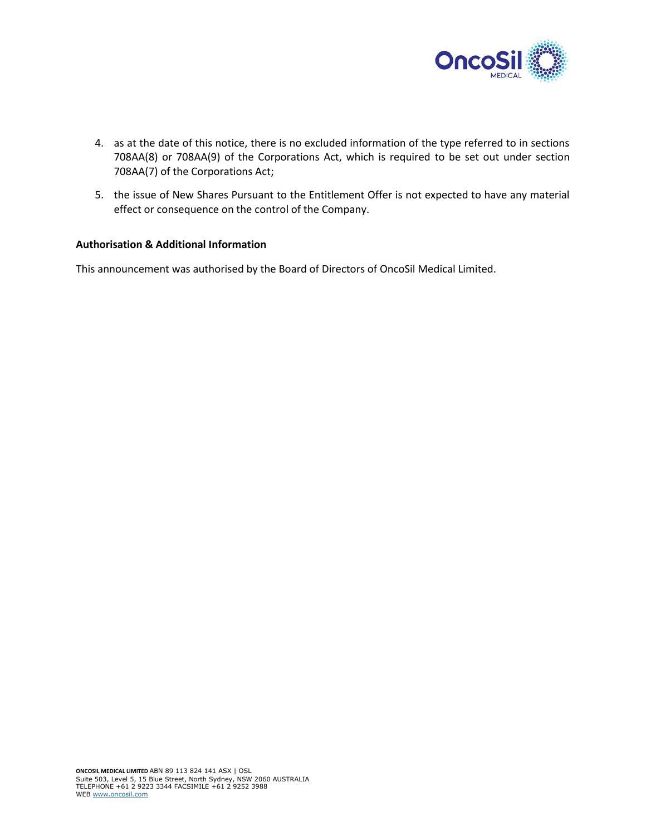

- 4. as at the date of this notice, there is no excluded information of the type referred to in sections 708AA(8) or 708AA(9) of the Corporations Act, which is required to be set out under section 708AA(7) of the Corporations Act;
- 5. the issue of New Shares Pursuant to the Entitlement Offer is not expected to have any material effect or consequence on the control of the Company.

### **Authorisation & Additional Information**

This announcement was authorised by the Board of Directors of OncoSil Medical Limited.